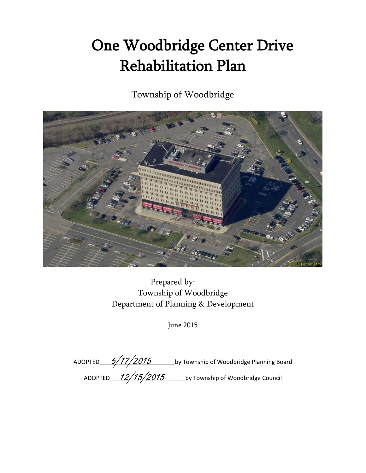# One Woodbridge Center Drive Rehabilitation Plan

Township of Woodbridge



Prepared by: Township of Woodbridge Department of Planning & Development

June 2015

ADOPTED\_\_\_\_\_\_\_\_\_\_\_\_\_\_\_\_\_\_\_\_\_\_\_by Township of Woodbridge Planning Board ADOPTED\_\_\_\_\_\_\_\_\_ 12/15/2015 \_\_\_\_\_\_\_\_\_\_\_\_\_\_by Township of Woodbridge Council 6/17/2015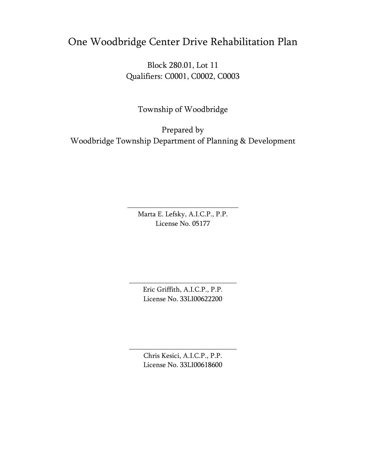# One Woodbridge Center Drive Rehabilitation Plan

Block 280.01, Lot 11 Qualifiers: C0001, C0002, C0003

Township of Woodbridge

Prepared by Woodbridge Township Department of Planning & Development

> Marta E. Lefsky, A.I.C.P., P.P. License No. 05177

\_\_\_\_\_\_\_\_\_\_\_\_\_\_\_\_\_\_\_\_\_\_\_\_\_\_\_\_\_\_\_

Eric Griffith, A.I.C.P., P.P. License No. 33LI00622200

\_\_\_\_\_\_\_\_\_\_\_\_\_\_\_\_\_\_\_\_\_\_\_\_\_\_\_\_\_\_

Chris Kesici, A.I.C.P., P.P. License No. 33LI00618600

\_\_\_\_\_\_\_\_\_\_\_\_\_\_\_\_\_\_\_\_\_\_\_\_\_\_\_\_\_\_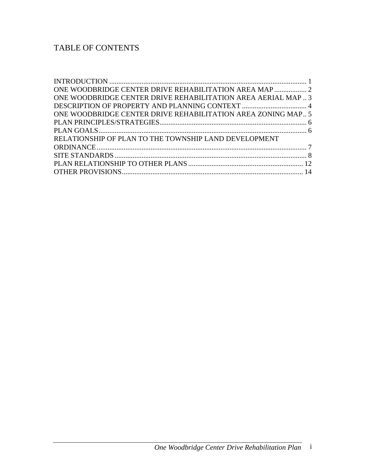# TABLE OF CONTENTS

| ONE WOODBRIDGE CENTER DRIVE REHABILITATION AREA AERIAL MAP3  |  |
|--------------------------------------------------------------|--|
|                                                              |  |
| ONE WOODBRIDGE CENTER DRIVE REHABILITATION AREA ZONING MAP 5 |  |
|                                                              |  |
|                                                              |  |
| RELATIONSHIP OF PLAN TO THE TOWNSHIP LAND DEVELOPMENT        |  |
|                                                              |  |
|                                                              |  |
|                                                              |  |
|                                                              |  |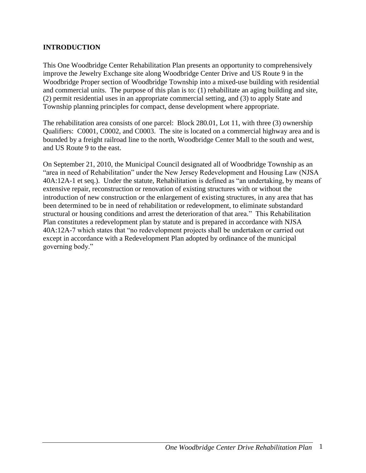#### <span id="page-3-0"></span>**INTRODUCTION**

This One Woodbridge Center Rehabilitation Plan presents an opportunity to comprehensively improve the Jewelry Exchange site along Woodbridge Center Drive and US Route 9 in the Woodbridge Proper section of Woodbridge Township into a mixed-use building with residential and commercial units. The purpose of this plan is to: (1) rehabilitate an aging building and site, (2) permit residential uses in an appropriate commercial setting, and (3) to apply State and Township planning principles for compact, dense development where appropriate.

The rehabilitation area consists of one parcel: Block 280.01, Lot 11, with three (3) ownership Qualifiers: C0001, C0002, and C0003. The site is located on a commercial highway area and is bounded by a freight railroad line to the north, Woodbridge Center Mall to the south and west, and US Route 9 to the east.

On September 21, 2010, the Municipal Council designated all of Woodbridge Township as an "area in need of Rehabilitation" under the New Jersey Redevelopment and Housing Law (NJSA 40A:12A-1 et seq.). Under the statute, Rehabilitation is defined as "an undertaking, by means of extensive repair, reconstruction or renovation of existing structures with or without the introduction of new construction or the enlargement of existing structures, in any area that has been determined to be in need of rehabilitation or redevelopment, to eliminate substandard structural or housing conditions and arrest the deterioration of that area." This Rehabilitation Plan constitutes a redevelopment plan by statute and is prepared in accordance with NJSA 40A:12A-7 which states that "no redevelopment projects shall be undertaken or carried out except in accordance with a Redevelopment Plan adopted by ordinance of the municipal governing body."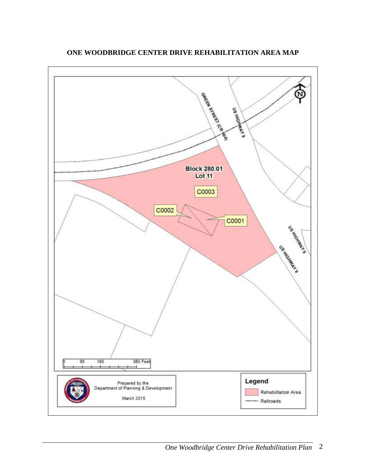<span id="page-4-0"></span>

**ONE WOODBRIDGE CENTER DRIVE REHABILITATION AREA MAP**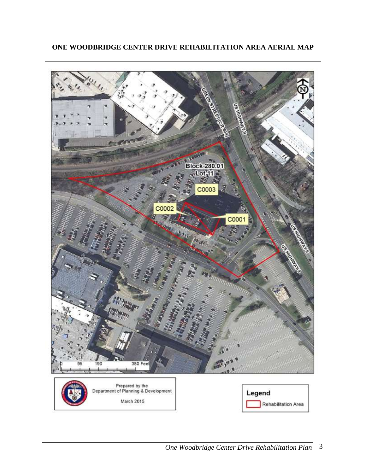

# <span id="page-5-0"></span>**ONE WOODBRIDGE CENTER DRIVE REHABILITATION AREA AERIAL MAP**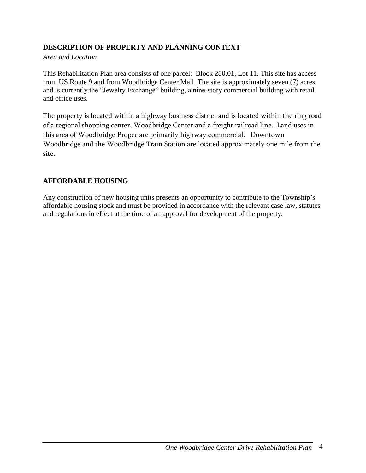# <span id="page-6-0"></span>**DESCRIPTION OF PROPERTY AND PLANNING CONTEXT**

#### *Area and Location*

This Rehabilitation Plan area consists of one parcel: Block 280.01, Lot 11. This site has access from US Route 9 and from Woodbridge Center Mall. The site is approximately seven (7) acres and is currently the "Jewelry Exchange" building, a nine-story commercial building with retail and office uses.

The property is located within a highway business district and is located within the ring road of a regional shopping center, Woodbridge Center and a freight railroad line. Land uses in this area of Woodbridge Proper are primarily highway commercial. Downtown Woodbridge and the Woodbridge Train Station are located approximately one mile from the site.

#### **AFFORDABLE HOUSING**

Any construction of new housing units presents an opportunity to contribute to the Township's affordable housing stock and must be provided in accordance with the relevant case law, statutes and regulations in effect at the time of an approval for development of the property.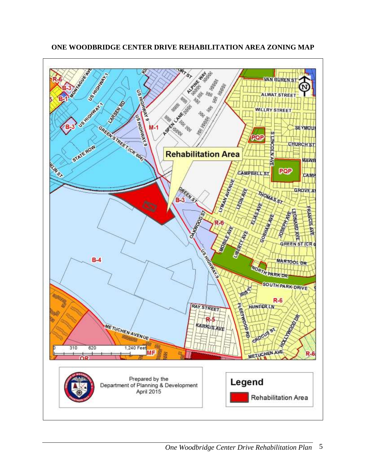<span id="page-7-0"></span>

**ONE WOODBRIDGE CENTER DRIVE REHABILITATION AREA ZONING MAP**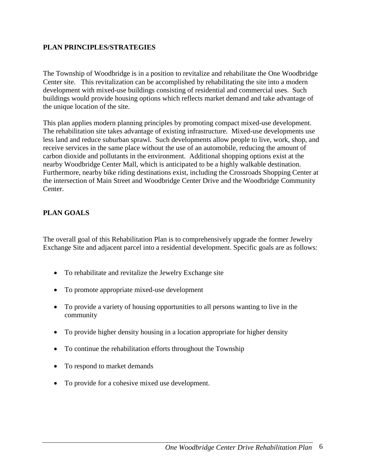#### <span id="page-8-0"></span>**PLAN PRINCIPLES/STRATEGIES**

The Township of Woodbridge is in a position to revitalize and rehabilitate the One Woodbridge Center site. This revitalization can be accomplished by rehabilitating the site into a modern development with mixed-use buildings consisting of residential and commercial uses. Such buildings would provide housing options which reflects market demand and take advantage of the unique location of the site.

This plan applies modern planning principles by promoting compact mixed-use development. The rehabilitation site takes advantage of existing infrastructure. Mixed-use developments use less land and reduce suburban sprawl. Such developments allow people to live, work, shop, and receive services in the same place without the use of an automobile, reducing the amount of carbon dioxide and pollutants in the environment. Additional shopping options exist at the nearby Woodbridge Center Mall, which is anticipated to be a highly walkable destination. Furthermore, nearby bike riding destinations exist, including the Crossroads Shopping Center at the intersection of Main Street and Woodbridge Center Drive and the Woodbridge Community Center.

#### <span id="page-8-1"></span>**PLAN GOALS**

The overall goal of this Rehabilitation Plan is to comprehensively upgrade the former Jewelry Exchange Site and adjacent parcel into a residential development. Specific goals are as follows:

- To rehabilitate and revitalize the Jewelry Exchange site
- To promote appropriate mixed-use development
- To provide a variety of housing opportunities to all persons wanting to live in the community
- To provide higher density housing in a location appropriate for higher density
- To continue the rehabilitation efforts throughout the Township
- To respond to market demands
- To provide for a cohesive mixed use development.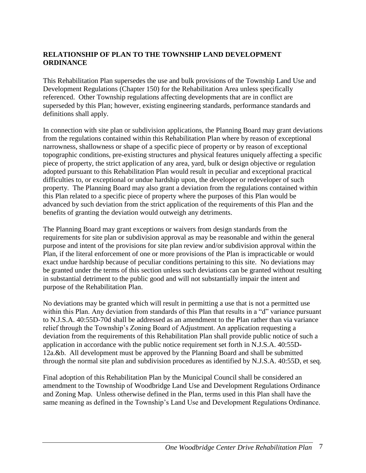## <span id="page-9-0"></span>**RELATIONSHIP OF PLAN TO THE TOWNSHIP LAND DEVELOPMENT ORDINANCE**

This Rehabilitation Plan supersedes the use and bulk provisions of the Township Land Use and Development Regulations (Chapter 150) for the Rehabilitation Area unless specifically referenced. Other Township regulations affecting developments that are in conflict are superseded by this Plan; however, existing engineering standards, performance standards and definitions shall apply.

In connection with site plan or subdivision applications, the Planning Board may grant deviations from the regulations contained within this Rehabilitation Plan where by reason of exceptional narrowness, shallowness or shape of a specific piece of property or by reason of exceptional topographic conditions, pre-existing structures and physical features uniquely affecting a specific piece of property, the strict application of any area, yard, bulk or design objective or regulation adopted pursuant to this Rehabilitation Plan would result in peculiar and exceptional practical difficulties to, or exceptional or undue hardship upon, the developer or redeveloper of such property. The Planning Board may also grant a deviation from the regulations contained within this Plan related to a specific piece of property where the purposes of this Plan would be advanced by such deviation from the strict application of the requirements of this Plan and the benefits of granting the deviation would outweigh any detriments.

The Planning Board may grant exceptions or waivers from design standards from the requirements for site plan or subdivision approval as may be reasonable and within the general purpose and intent of the provisions for site plan review and/or subdivision approval within the Plan, if the literal enforcement of one or more provisions of the Plan is impracticable or would exact undue hardship because of peculiar conditions pertaining to this site. No deviations may be granted under the terms of this section unless such deviations can be granted without resulting in substantial detriment to the public good and will not substantially impair the intent and purpose of the Rehabilitation Plan.

No deviations may be granted which will result in permitting a use that is not a permitted use within this Plan. Any deviation from standards of this Plan that results in a "d" variance pursuant to N.J.S.A. 40:55D-70d shall be addressed as an amendment to the Plan rather than via variance relief through the Township's Zoning Board of Adjustment. An application requesting a deviation from the requirements of this Rehabilitation Plan shall provide public notice of such a application in accordance with the public notice requirement set forth in N.J.S.A. 40:55D-12a.&b. All development must be approved by the Planning Board and shall be submitted through the normal site plan and subdivision procedures as identified by N.J.S.A. 40:55D, et seq.

Final adoption of this Rehabilitation Plan by the Municipal Council shall be considered an amendment to the Township of Woodbridge Land Use and Development Regulations Ordinance and Zoning Map. Unless otherwise defined in the Plan, terms used in this Plan shall have the same meaning as defined in the Township's Land Use and Development Regulations Ordinance.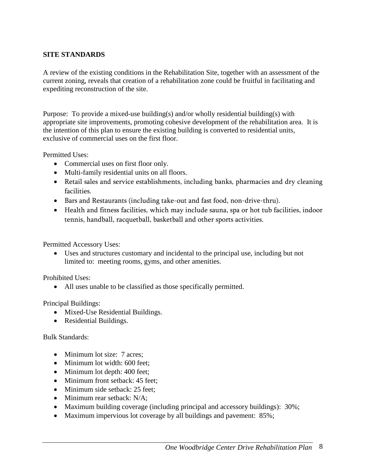#### <span id="page-10-0"></span>**SITE STANDARDS**

A review of the existing conditions in the Rehabilitation Site, together with an assessment of the current zoning, reveals that creation of a rehabilitation zone could be fruitful in facilitating and expediting reconstruction of the site.

Purpose: To provide a mixed-use building(s) and/or wholly residential building(s) with appropriate site improvements, promoting cohesive development of the rehabilitation area. It is the intention of this plan to ensure the existing building is converted to residential units, exclusive of commercial uses on the first floor.

Permitted Uses:

- Commercial uses on first floor only.
- Multi-family residential units on all floors.
- Retail sales and service establishments, including banks, pharmacies and dry cleaning facilities.
- Bars and Restaurants (including take-out and fast food, non-drive-thru).
- Health and fitness facilities, which may include sauna, spa or hot tub facilities, indoor tennis, handball, racquetball, basketball and other sports activities.

Permitted Accessory Uses:

 Uses and structures customary and incidental to the principal use, including but not limited to: meeting rooms, gyms, and other amenities.

Prohibited Uses:

All uses unable to be classified as those specifically permitted.

Principal Buildings:

- Mixed-Use Residential Buildings.
- Residential Buildings.

#### Bulk Standards:

- Minimum lot size: 7 acres:
- Minimum lot width: 600 feet:
- Minimum lot depth: 400 feet;
- Minimum front setback: 45 feet;
- Minimum side setback: 25 feet;
- Minimum rear setback: N/A:
- Maximum building coverage (including principal and accessory buildings): 30%;
- Maximum impervious lot coverage by all buildings and pavement: 85%;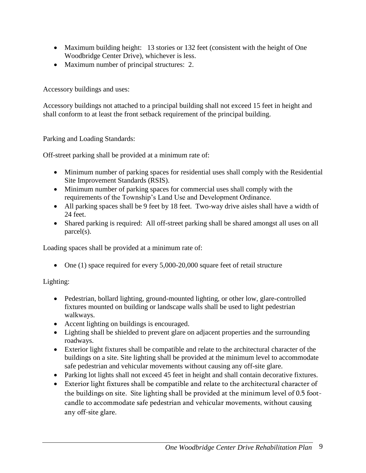- Maximum building height: 13 stories or 132 feet (consistent with the height of One Woodbridge Center Drive), whichever is less.
- Maximum number of principal structures: 2.

Accessory buildings and uses:

Accessory buildings not attached to a principal building shall not exceed 15 feet in height and shall conform to at least the front setback requirement of the principal building.

Parking and Loading Standards:

Off-street parking shall be provided at a minimum rate of:

- Minimum number of parking spaces for residential uses shall comply with the Residential Site Improvement Standards (RSIS).
- Minimum number of parking spaces for commercial uses shall comply with the requirements of the Township's Land Use and Development Ordinance.
- All parking spaces shall be 9 feet by 18 feet. Two-way drive aisles shall have a width of 24 feet.
- Shared parking is required: All off-street parking shall be shared amongst all uses on all parcel(s).

Loading spaces shall be provided at a minimum rate of:

• One (1) space required for every 5,000-20,000 square feet of retail structure

Lighting:

- Pedestrian, bollard lighting, ground-mounted lighting, or other low, glare-controlled fixtures mounted on building or landscape walls shall be used to light pedestrian walkways.
- Accent lighting on buildings is encouraged.
- Lighting shall be shielded to prevent glare on adjacent properties and the surrounding roadways.
- Exterior light fixtures shall be compatible and relate to the architectural character of the buildings on a site. Site lighting shall be provided at the minimum level to accommodate safe pedestrian and vehicular movements without causing any off-site glare.
- Parking lot lights shall not exceed 45 feet in height and shall contain decorative fixtures.
- Exterior light fixtures shall be compatible and relate to the architectural character of the buildings on site. Site lighting shall be provided at the minimum level of 0.5 footcandle to accommodate safe pedestrian and vehicular movements, without causing any off-site glare.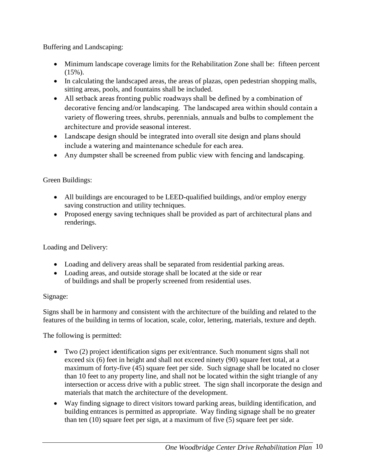Buffering and Landscaping:

- Minimum landscape coverage limits for the Rehabilitation Zone shall be: fifteen percent (15%).
- In calculating the landscaped areas, the areas of plazas, open pedestrian shopping malls, sitting areas, pools, and fountains shall be included.
- All setback areas fronting public roadways shall be defined by a combination of decorative fencing and/or landscaping. The landscaped area within should contain a variety of flowering trees, shrubs, perennials, annuals and bulbs to complement the architecture and provide seasonal interest.
- Landscape design should be integrated into overall site design and plans should include a watering and maintenance schedule for each area.
- Any dumpster shall be screened from public view with fencing and landscaping.

# Green Buildings:

- All buildings are encouraged to be LEED-qualified buildings, and/or employ energy saving construction and utility techniques.
- Proposed energy saving techniques shall be provided as part of architectural plans and renderings.

Loading and Delivery:

- Loading and delivery areas shall be separated from residential parking areas.
- Loading areas, and outside storage shall be located at the side or rear of buildings and shall be properly screened from residential uses.

# Signage:

Signs shall be in harmony and consistent with the architecture of the building and related to the features of the building in terms of location, scale, color, lettering, materials, texture and depth.

The following is permitted:

- Two (2) project identification signs per exit/entrance. Such monument signs shall not exceed six (6) feet in height and shall not exceed ninety (90) square feet total, at a maximum of forty-five (45) square feet per side. Such signage shall be located no closer than 10 feet to any property line, and shall not be located within the sight triangle of any intersection or access drive with a public street. The sign shall incorporate the design and materials that match the architecture of the development.
- Way finding signage to direct visitors toward parking areas, building identification, and building entrances is permitted as appropriate. Way finding signage shall be no greater than ten (10) square feet per sign, at a maximum of five (5) square feet per side.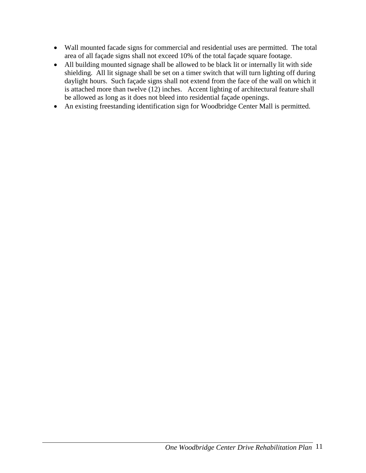- Wall mounted facade signs for commercial and residential uses are permitted. The total area of all façade signs shall not exceed 10% of the total façade square footage.
- All building mounted signage shall be allowed to be black lit or internally lit with side shielding. All lit signage shall be set on a timer switch that will turn lighting off during daylight hours. Such façade signs shall not extend from the face of the wall on which it is attached more than twelve (12) inches. Accent lighting of architectural feature shall be allowed as long as it does not bleed into residential façade openings.
- An existing freestanding identification sign for Woodbridge Center Mall is permitted.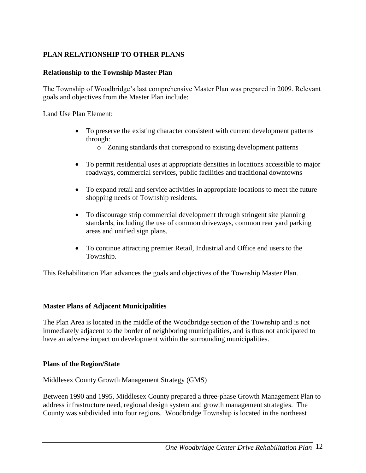# <span id="page-14-0"></span>**PLAN RELATIONSHIP TO OTHER PLANS**

#### **Relationship to the Township Master Plan**

The Township of Woodbridge's last comprehensive Master Plan was prepared in 2009. Relevant goals and objectives from the Master Plan include:

Land Use Plan Element:

- To preserve the existing character consistent with current development patterns through:
	- o Zoning standards that correspond to existing development patterns
- To permit residential uses at appropriate densities in locations accessible to major roadways, commercial services, public facilities and traditional downtowns
- To expand retail and service activities in appropriate locations to meet the future shopping needs of Township residents.
- To discourage strip commercial development through stringent site planning standards, including the use of common driveways, common rear yard parking areas and unified sign plans.
- To continue attracting premier Retail, Industrial and Office end users to the Township.

This Rehabilitation Plan advances the goals and objectives of the Township Master Plan.

#### **Master Plans of Adjacent Municipalities**

The Plan Area is located in the middle of the Woodbridge section of the Township and is not immediately adjacent to the border of neighboring municipalities, and is thus not anticipated to have an adverse impact on development within the surrounding municipalities.

#### **Plans of the Region/State**

Middlesex County Growth Management Strategy (GMS)

Between 1990 and 1995, Middlesex County prepared a three-phase Growth Management Plan to address infrastructure need, regional design system and growth management strategies. The County was subdivided into four regions. Woodbridge Township is located in the northeast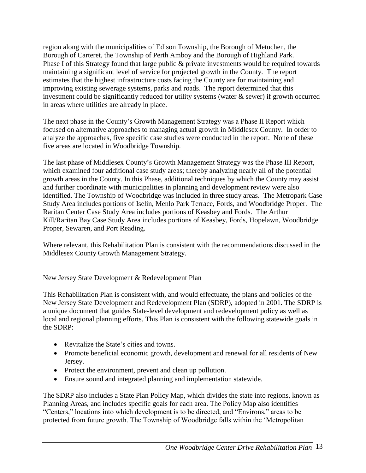region along with the municipalities of Edison Township, the Borough of Metuchen, the Borough of Carteret, the Township of Perth Amboy and the Borough of Highland Park. Phase I of this Strategy found that large public & private investments would be required towards maintaining a significant level of service for projected growth in the County. The report estimates that the highest infrastructure costs facing the County are for maintaining and improving existing sewerage systems, parks and roads. The report determined that this investment could be significantly reduced for utility systems (water  $\&$  sewer) if growth occurred in areas where utilities are already in place.

The next phase in the County's Growth Management Strategy was a Phase II Report which focused on alternative approaches to managing actual growth in Middlesex County. In order to analyze the approaches, five specific case studies were conducted in the report. None of these five areas are located in Woodbridge Township.

The last phase of Middlesex County's Growth Management Strategy was the Phase III Report, which examined four additional case study areas; thereby analyzing nearly all of the potential growth areas in the County. In this Phase, additional techniques by which the County may assist and further coordinate with municipalities in planning and development review were also identified. The Township of Woodbridge was included in three study areas. The Metropark Case Study Area includes portions of Iselin, Menlo Park Terrace, Fords, and Woodbridge Proper. The Raritan Center Case Study Area includes portions of Keasbey and Fords. The Arthur Kill/Raritan Bay Case Study Area includes portions of Keasbey, Fords, Hopelawn, Woodbridge Proper, Sewaren, and Port Reading.

Where relevant, this Rehabilitation Plan is consistent with the recommendations discussed in the Middlesex County Growth Management Strategy.

New Jersey State Development & Redevelopment Plan

This Rehabilitation Plan is consistent with, and would effectuate, the plans and policies of the New Jersey State Development and Redevelopment Plan (SDRP), adopted in 2001. The SDRP is a unique document that guides State-level development and redevelopment policy as well as local and regional planning efforts. This Plan is consistent with the following statewide goals in the SDRP:

- Revitalize the State's cities and towns.
- Promote beneficial economic growth, development and renewal for all residents of New Jersey.
- Protect the environment, prevent and clean up pollution.
- Ensure sound and integrated planning and implementation statewide.

The SDRP also includes a State Plan Policy Map, which divides the state into regions, known as Planning Areas, and includes specific goals for each area. The Policy Map also identifies "Centers," locations into which development is to be directed, and "Environs," areas to be protected from future growth. The Township of Woodbridge falls within the 'Metropolitan